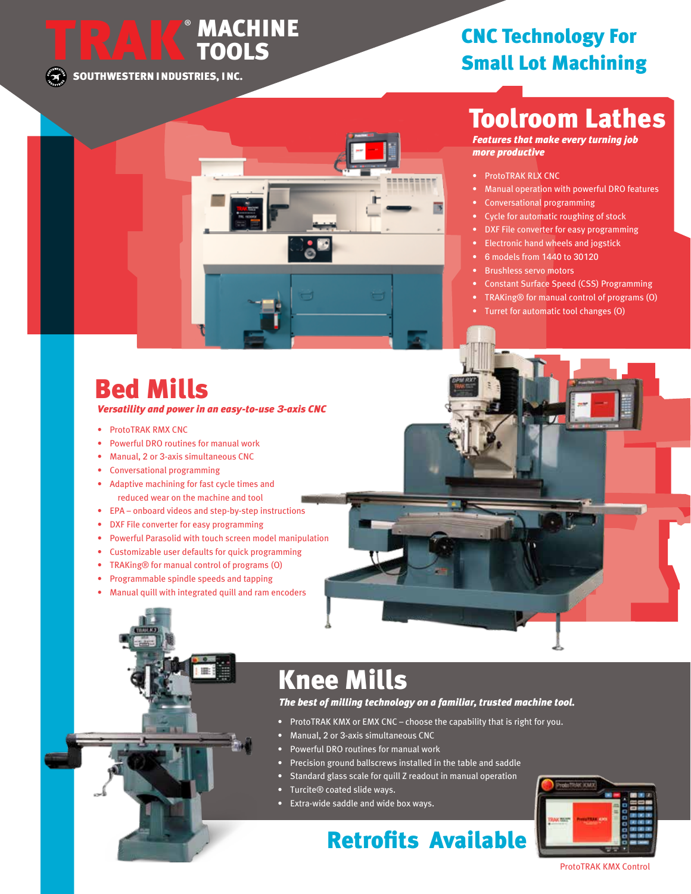**SOUTHWESTERN INDUSTRIES, INC.**

®

**TRAK MACHINE**

**TOOLS**

#### **CNC Technology For Small Lot Machining**

## **Toolroom Lathes**

*Features that make every turning job more productive*

- ProtoTRAK RLX CNC
- Manual operation with powerful DRO features
- Conversational programming
- Cycle for automatic roughing of stock
- DXF File converter for easy programming
- Electronic hand wheels and jogstick
- 6 models from 1440 to 30120
- Brushless servo motors
- Constant Surface Speed (CSS) Programming
- TRAKing® for manual control of programs (O)
- Turret for automatic tool changes (O)

### **Bed Mills**

*Versatility and power in an easy-to-use 3-axis CNC*

- ProtoTRAK RMX CNC
- Powerful DRO routines for manual work
- Manual, 2 or 3-axis simultaneous CNC
- Conversational programming
- Adaptive machining for fast cycle times and reduced wear on the machine and tool
- EPA onboard videos and step-by-step instructions
- DXF File converter for easy programming
- Powerful Parasolid with touch screen model manipulation
- Customizable user defaults for quick programming
- TRAKing® for manual control of programs (O)
- Programmable spindle speeds and tapping
- Manual quill with integrated quill and ram encoders

## **Knee Mills**

#### *The best of milling technology on a familiar, trusted machine tool.*

- ProtoTRAK KMX or EMX CNC choose the capability that is right for you.
- Manual, 2 or 3-axis simultaneous CNC
- Powerful DRO routines for manual work
- Precision ground ballscrews installed in the table and saddle
- Standard glass scale for quill Z readout in manual operation
- Turcite® coated slide ways.
- Extra-wide saddle and wide box ways.

#### **Retrofits Available**



#### ProtoTRAK KMX Control